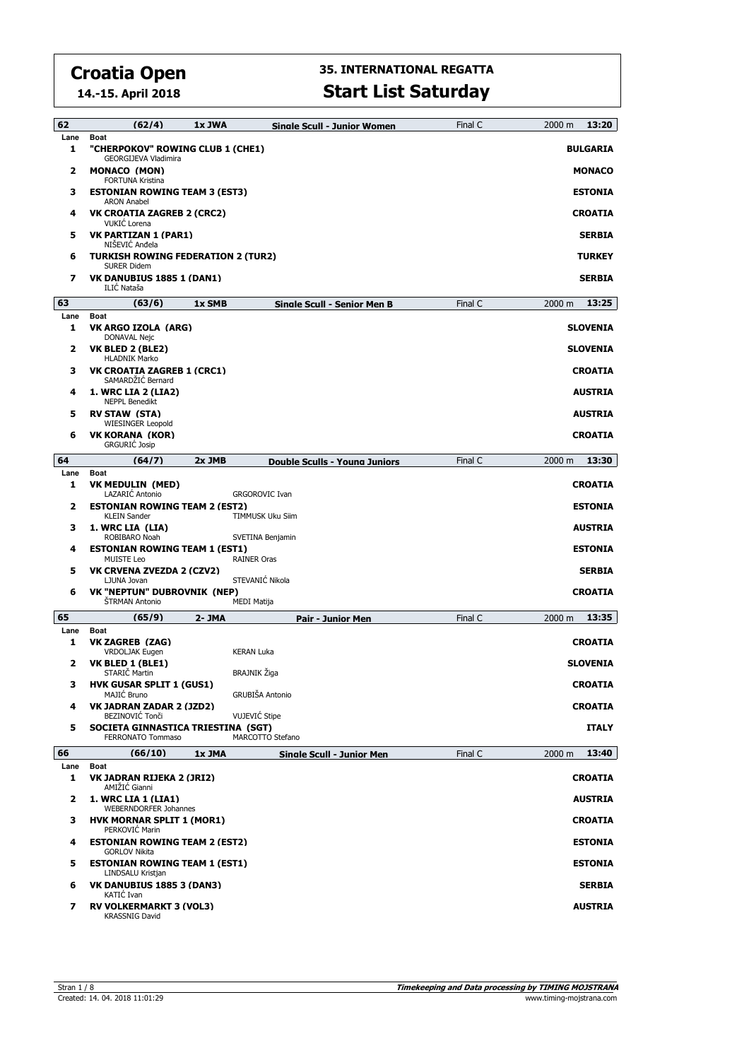**14.-15. April 2018**

## **35. INTERNATIONAL REGATTA**

#### **Start List Saturday**

| 62        | (62/4)                                                                         | 1x JWA | Sinale Scull - Junior Women      | Final C | 2000 m | 13:20           |
|-----------|--------------------------------------------------------------------------------|--------|----------------------------------|---------|--------|-----------------|
| Lane<br>1 | <b>Boat</b><br>"CHERPOKOV" ROWING CLUB 1 (CHE1)                                |        |                                  |         |        | <b>BULGARIA</b> |
| 2         | GEORGIJEVA Vladimira<br><b>MONACO (MON)</b>                                    |        |                                  |         |        | <b>MONACO</b>   |
| з         | FORTUNA Kristina<br><b>ESTONIAN ROWING TEAM 3 (EST3)</b><br><b>ARON Anabel</b> |        |                                  |         |        | <b>ESTONIA</b>  |
| 4         | VK CROATIA ZAGREB 2 (CRC2)<br>VUKIC Lorena                                     |        |                                  |         |        | <b>CROATIA</b>  |
| 5         | VK PARTIZAN 1 (PAR1)<br>NIŠEVIĆ Anđela                                         |        |                                  |         |        | <b>SERBIA</b>   |
| 6         | <b>TURKISH ROWING FEDERATION 2 (TUR2)</b><br><b>SURER Didem</b>                |        |                                  |         |        | <b>TURKEY</b>   |
| 7         | <b>VK DANUBIUS 1885 1 (DAN1)</b><br>ILIC Nataša                                |        |                                  |         |        | <b>SERBIA</b>   |
| 63        | (63/6)                                                                         | 1x SMB | Single Scull - Senior Men B      | Final C | 2000 m | 13:25           |
| Lane<br>1 | Boat<br>VK ARGO IZOLA (ARG)<br>DONAVAL Nejc                                    |        |                                  |         |        | <b>SLOVENIA</b> |
| 2         | VK BLED 2 (BLE2)<br><b>HLADNIK Marko</b>                                       |        |                                  |         |        | <b>SLOVENIA</b> |
| з         | <b>VK CROATIA ZAGREB 1 (CRC1)</b><br>SAMARDŽIĆ Bernard                         |        |                                  |         |        | <b>CROATIA</b>  |
| 4         | <b>1. WRC LIA 2 (LIA2)</b><br><b>NEPPL Benedikt</b>                            |        |                                  |         |        | <b>AUSTRIA</b>  |
| 5         | <b>RV STAW (STA)</b><br><b>WIESINGER Leopold</b>                               |        |                                  |         |        | <b>AUSTRIA</b>  |
| 6         | VK KORANA (KOR)<br><b>GRGURIĆ Josip</b>                                        |        |                                  |         |        | <b>CROATIA</b>  |
| 64        | (64/7)                                                                         | 2x JMB | Double Sculls - Young Juniors    | Final C | 2000 m | 13:30           |
| Lane<br>1 | <b>Boat</b><br><b>VK MEDULIN (MED)</b><br>LAZARIC Antonio                      |        | <b>GRGOROVIC Ivan</b>            |         |        | <b>CROATIA</b>  |
| 2         | <b>ESTONIAN ROWING TEAM 2 (EST2)</b><br><b>KLEIN Sander</b>                    |        | TIMMUSK Uku Siim                 |         |        | <b>ESTONIA</b>  |
| з         | 1. WRC LIA (LIA)<br>ROBIBARO Noah                                              |        | SVETINA Benjamin                 |         |        | <b>AUSTRIA</b>  |
| 4         | <b>ESTONIAN ROWING TEAM 1 (EST1)</b><br><b>MUISTE Leo</b>                      |        | <b>RAINER Oras</b>               |         |        | <b>ESTONIA</b>  |
| 5         | VK CRVENA ZVEZDA 2 (CZV2)<br>LJUNA Jovan                                       |        | STEVANIĆ Nikola                  |         |        | <b>SERBIA</b>   |
| 6         | VK "NEPTUN" DUBROVNIK (NEP)<br>ŠTRMAN Antonio                                  |        | <b>MEDI Matija</b>               |         |        | <b>CROATIA</b>  |
| 65        | (65/9)                                                                         | 2- JMA | <b>Pair - Junior Men</b>         | Final C | 2000 m | 13:35           |
| Lane      | <b>Boat</b>                                                                    |        |                                  |         |        |                 |
| 1         | VK ZAGREB (ZAG)<br><b>VRDOLJAK Eugen</b>                                       |        | <b>KERAN Luka</b>                |         |        | <b>CROATIA</b>  |
| 2         | VK BLED 1 (BLE1)<br><b>STARIC Martin</b>                                       |        | BRAJNIK Žiga                     |         |        | <b>SLOVENIA</b> |
| 3.        | <b>HVK GUSAR SPLIT 1 (GUS1)</b><br>MAJIĆ Bruno                                 |        | GRUBIŠA Antonio                  |         |        | <b>CROATIA</b>  |
| 4         | VK JADRAN ZADAR 2 (JZD2)<br>BEZINOVIĆ Tonči                                    |        | VUJEVIĆ Stipe                    |         |        | <b>CROATIA</b>  |
| 5         | SOCIETA GINNASTICA TRIESTINA (SGT)<br><b>FERRONATO Tommaso</b>                 |        | MARCOTTO Stefano                 |         |        | <b>ITALY</b>    |
| 66        | (66/10)                                                                        | 1x JMA | <b>Single Scull - Junior Men</b> | Final C | 2000 m | 13:40           |
| Lane<br>1 | <b>Boat</b><br>VK JADRAN RIJEKA 2 (JRI2)<br>AMIŽIĆ Gianni                      |        |                                  |         |        | <b>CROATIA</b>  |
| 2         | 1. WRC LIA 1 (LIA1)<br><b>WEBERNDORFER Johannes</b>                            |        |                                  |         |        | <b>AUSTRIA</b>  |
| з         | <b>HVK MORNAR SPLIT 1 (MOR1)</b><br>PERKOVIC Marin                             |        |                                  |         |        | <b>CROATIA</b>  |
| 4         | <b>ESTONIAN ROWING TEAM 2 (EST2)</b><br><b>GORLOV Nikita</b>                   |        |                                  |         |        | <b>ESTONIA</b>  |
| 5         | <b>ESTONIAN ROWING TEAM 1 (EST1)</b><br>LINDSALU Kristjan                      |        |                                  |         |        | <b>ESTONIA</b>  |
| 6         | <b>VK DANUBIUS 1885 3 (DAN3)</b><br>KATIC Ivan                                 |        |                                  |         |        | <b>SERBIA</b>   |
| 7         | <b>RV VOLKERMARKT 3 (VOL3)</b><br><b>KRASSNIG David</b>                        |        |                                  |         |        | <b>AUSTRIA</b>  |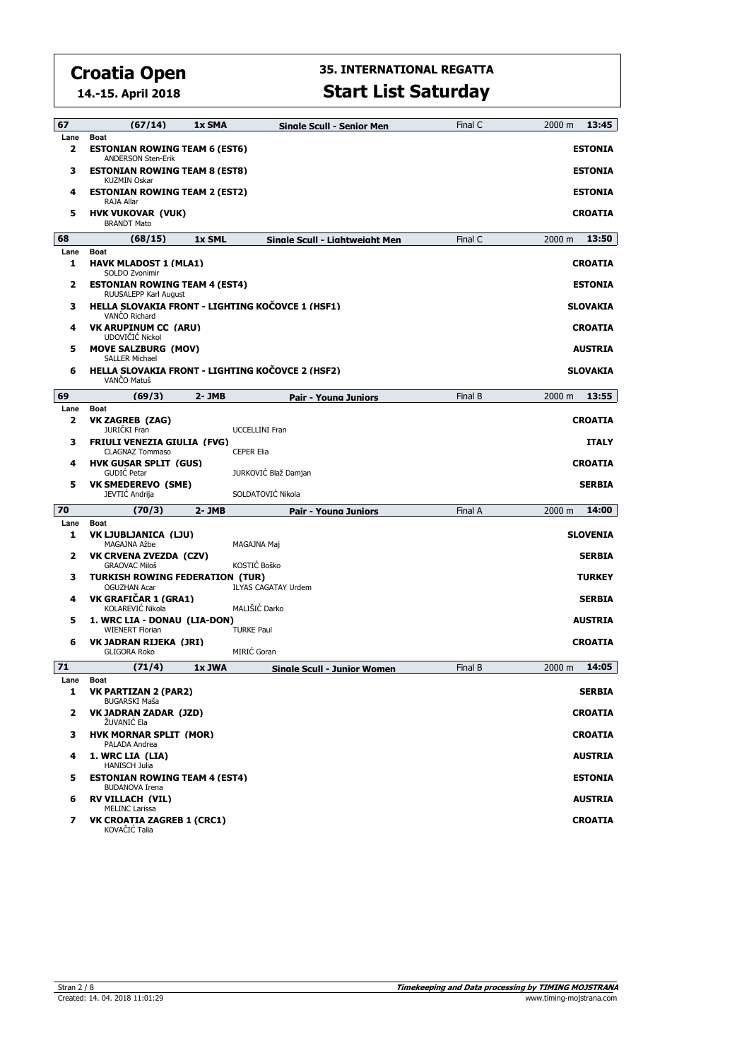**14.-15. April 2018**

| 67        | (67/14)                                                                               | 1x SMA    | <b>Single Scull - Senior Men</b>                 | Final C | 13:45<br>2000 m |
|-----------|---------------------------------------------------------------------------------------|-----------|--------------------------------------------------|---------|-----------------|
| Lane      | <b>Boat</b>                                                                           |           |                                                  |         |                 |
| 2         | <b>ESTONIAN ROWING TEAM 6 (EST6)</b><br><b>ANDERSON Sten-Erik</b>                     |           |                                                  |         | <b>ESTONIA</b>  |
| 3         | <b>ESTONIAN ROWING TEAM 8 (EST8)</b><br><b>KUZMIN Oskar</b>                           |           |                                                  |         | <b>ESTONIA</b>  |
| 4         | <b>ESTONIAN ROWING TEAM 2 (EST2)</b><br>RAJA Allar                                    |           |                                                  |         | <b>ESTONIA</b>  |
| 5         | <b>HVK VUKOVAR (VUK)</b><br><b>BRANDT Mato</b>                                        |           |                                                  |         | <b>CROATIA</b>  |
| 68        | (68/15)                                                                               | 1x SML    | Single Scull - Lightweight Men                   | Final C | 13:50<br>2000 m |
| Lane<br>1 | <b>Boat</b><br><b>HAVK MLADOST 1 (MLA1)</b><br>SOLDO Zvonimir                         |           |                                                  |         | <b>CROATIA</b>  |
| 2         | <b>ESTONIAN ROWING TEAM 4 (EST4)</b><br>RUUSALEPP Karl August                         |           |                                                  |         | <b>ESTONIA</b>  |
| 3         | VANCO Richard                                                                         |           | HELLA SLOVAKIA FRONT - LIGHTING KOČOVCE 1 (HSF1) |         | <b>SLOVAKIA</b> |
| 4         | <b>VK ARUPINUM CC (ARU)</b><br>UDOVIČIĆ Nickol                                        |           |                                                  |         | <b>CROATIA</b>  |
| 5         | <b>MOVE SALZBURG (MOV)</b><br><b>SALLER Michael</b>                                   |           |                                                  |         | <b>AUSTRIA</b>  |
| 6         | VANČO Matuš                                                                           |           | HELLA SLOVAKIA FRONT - LIGHTING KOČOVCE 2 (HSF2) |         | <b>SLOVAKIA</b> |
| 69        | (69/3)                                                                                | 2- JMB    | Pair - Young Juniors                             | Final B | 13:55<br>2000 m |
| Lane<br>2 | <b>Boat</b><br><b>VK ZAGREB (ZAG)</b><br>JURIČKI Fran                                 |           | <b>UCCELLINI Fran</b>                            |         | <b>CROATIA</b>  |
| 3         | <b>FRIULI VENEZIA GIULIA (FVG)</b><br><b>CLAGNAZ Tommaso</b>                          |           | <b>CEPER Elia</b>                                |         | <b>ITALY</b>    |
| 4         | <b>HVK GUSAR SPLIT (GUS)</b><br><b>GUDIC Petar</b>                                    |           | JURKOVIĆ Blaž Damjan                             |         | <b>CROATIA</b>  |
| 5         | VK SMEDEREVO (SME)<br>JEVTIĆ Andrija                                                  |           | SOLDATOVIĆ Nikola                                |         | <b>SERBIA</b>   |
| 70        | (70/3)                                                                                | $2 - JMB$ | Pair - Young Juniors                             | Final A | 2000 m<br>14:00 |
| Lane<br>1 | Boat<br><b>VK LJUBLJANICA (LJU)</b>                                                   |           |                                                  |         | <b>SLOVENIA</b> |
| 2         | MAGAJNA Ažbe<br>VK CRVENA ZVEZDA (CZV)                                                |           | MAGAJNA Maj                                      |         | <b>SERBIA</b>   |
| з         | <b>GRAOVAC Miloš</b><br><b>TURKISH ROWING FEDERATION (TUR)</b><br><b>OGUZHAN Acar</b> |           | KOSTIĆ Boško<br><b>ILYAS CAGATAY Urdem</b>       |         | <b>TURKEY</b>   |
| 4         | VK GRAFIČAR 1 (GRA1)<br>KOLAREVIĆ Nikola                                              |           | MALIŠIĆ Darko                                    |         | <b>SERBIA</b>   |
| 5         | 1. WRC LIA - DONAU (LIA-DON)<br><b>WIENERT Florian</b>                                |           | <b>TURKE Paul</b>                                |         | <b>AUSTRIA</b>  |
| 6         | VK JADRAN RIJEKA (JRI)<br><b>GLIGORA Roko</b>                                         |           | MIRIĆ Goran                                      |         | <b>CROATIA</b>  |
| 71        | (71/4)                                                                                | 1x JWA    | <b>Single Scull - Junior Women</b>               | Final B | 14:05<br>2000 m |
| Lane<br>1 | <b>Boat</b><br>VK PARTIZAN 2 (PAR2)                                                   |           |                                                  |         | <b>SERBIA</b>   |
| 2         | <b>BUGARSKI Maša</b><br>VK JADRAN ZADAR (JZD)                                         |           |                                                  |         | <b>CROATIA</b>  |
| з         | ŽUVANIĆ Ela<br><b>HVK MORNAR SPLIT (MOR)</b>                                          |           |                                                  |         | CROATIA         |
| 4         | PALADA Andrea<br>1. WRC LIA (LIA)                                                     |           |                                                  |         | <b>AUSTRIA</b>  |
| 5         | <b>HANISCH Julia</b><br><b>ESTONIAN ROWING TEAM 4 (EST4)</b><br><b>BUDANOVA Irena</b> |           |                                                  |         | <b>ESTONIA</b>  |
| 6         | <b>RV VILLACH (VIL)</b><br><b>MELINC Larissa</b>                                      |           |                                                  |         | <b>AUSTRIA</b>  |
| 7         | VK CROATIA ZAGREB 1 (CRC1)<br>KOVAČIĆ Talia                                           |           |                                                  |         | <b>CROATIA</b>  |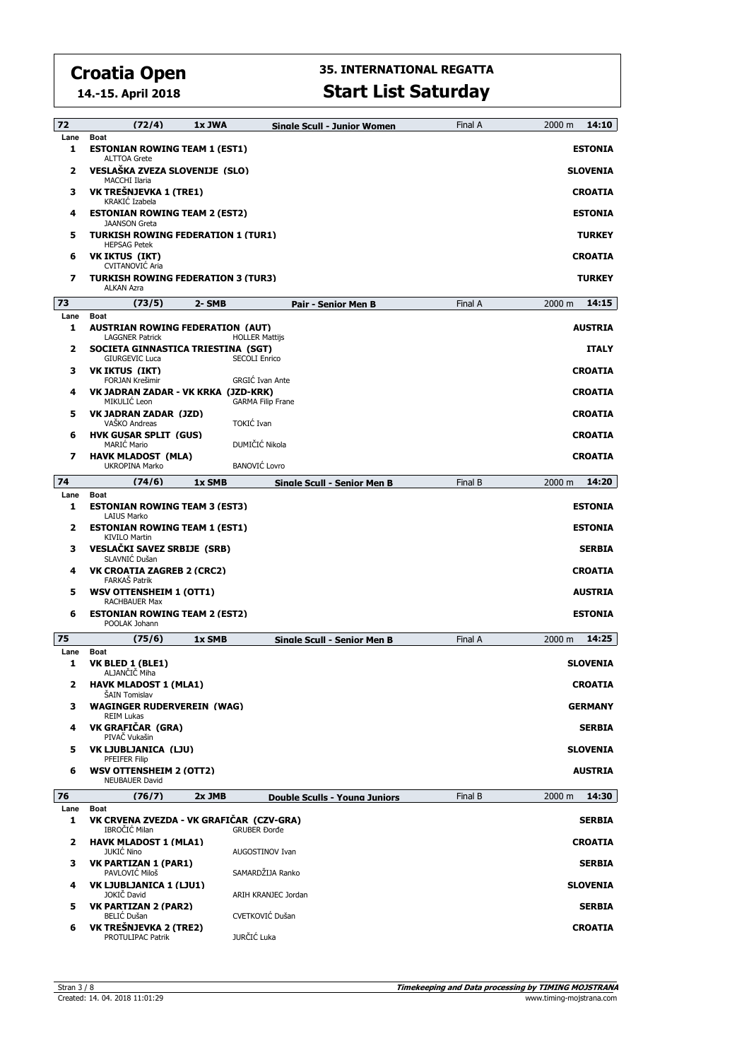**14.-15. April 2018**

| 72        | (72/4)                                                                     | 1x JWA | <b>Single Scull - Junior Women</b>   | Final A | 14:10<br>2000 m |
|-----------|----------------------------------------------------------------------------|--------|--------------------------------------|---------|-----------------|
| Lane<br>1 | <b>Boat</b><br><b>ESTONIAN ROWING TEAM 1 (EST1)</b><br><b>ALTTOA Grete</b> |        |                                      |         | <b>ESTONIA</b>  |
| 2         | VESLAŠKA ZVEZA SLOVENIJE (SLO)<br><b>MACCHI Ilaria</b>                     |        |                                      |         | <b>SLOVENIA</b> |
| з         | VK TREŠNJEVKA 1 (TRE1)<br>KRAKIĆ Izabela                                   |        |                                      |         | <b>CROATIA</b>  |
| 4         | <b>ESTONIAN ROWING TEAM 2 (EST2)</b><br><b>JAANSON Greta</b>               |        |                                      |         | <b>ESTONIA</b>  |
| 5         | <b>TURKISH ROWING FEDERATION 1 (TUR1)</b><br><b>HEPSAG Petek</b>           |        |                                      |         | <b>TURKEY</b>   |
| 6         | <b>VK IKTUS (IKT)</b><br><b>CVITANOVIC Aria</b>                            |        |                                      |         | <b>CROATIA</b>  |
| 7         | <b>TURKISH ROWING FEDERATION 3 (TUR3)</b><br><b>ALKAN Azra</b>             |        |                                      |         | <b>TURKEY</b>   |
| 73        | (73/5)                                                                     | 2- SMB | Pair - Senior Men B                  | Final A | 14:15<br>2000 m |
| Lane      | <b>Boat</b>                                                                |        |                                      |         |                 |
| 1         | <b>AUSTRIAN ROWING FEDERATION (AUT)</b><br><b>LAGGNER Patrick</b>          |        | <b>HOLLER Mattijs</b>                |         | <b>AUSTRIA</b>  |
| 2         | SOCIETA GINNASTICA TRIESTINA (SGT)<br><b>GIURGEVIC Luca</b>                |        | <b>SECOLI Enrico</b>                 |         | <b>ITALY</b>    |
| з         | <b>VK IKTUS (IKT)</b><br><b>FORJAN Krešimir</b>                            |        | <b>GRGIĆ Ivan Ante</b>               |         | <b>CROATIA</b>  |
| 4         | VK JADRAN ZADAR - VK KRKA (JZD-KRK)<br>MIKULIĆ Leon                        |        | <b>GARMA Filip Frane</b>             |         | <b>CROATIA</b>  |
| 5         | VK JADRAN ZADAR (JZD)<br>VAŠKO Andreas                                     |        | TOKIĆ Ivan                           |         | <b>CROATIA</b>  |
| 6         | <b>HVK GUSAR SPLIT (GUS)</b><br><b>MARIC Mario</b>                         |        | DUMIČIĆ Nikola                       |         | <b>CROATIA</b>  |
| 7         | <b>HAVK MLADOST (MLA)</b><br>UKROPINA Marko                                |        | <b>BANOVIĆ Lovro</b>                 |         | <b>CROATIA</b>  |
| 74        | (74/6)                                                                     | 1x SMB | <b>Single Scull - Senior Men B</b>   | Final B | 14:20<br>2000 m |
| Lane      | <b>Boat</b>                                                                |        |                                      |         |                 |
| 1         | <b>ESTONIAN ROWING TEAM 3 (EST3)</b><br><b>LAIUS Marko</b>                 |        |                                      |         | <b>ESTONIA</b>  |
| 2         | <b>ESTONIAN ROWING TEAM 1 (EST1)</b><br><b>KIVILO Martin</b>               |        |                                      |         | <b>ESTONIA</b>  |
| з         | VESLAČKI SAVEZ SRBIJE (SRB)<br>SLAVNIĆ Dušan                               |        |                                      |         | <b>SERBIA</b>   |
| 4         | <b>VK CROATIA ZAGREB 2 (CRC2)</b><br><b>FARKAS Patrik</b>                  |        |                                      |         | <b>CROATIA</b>  |
| 5         | <b>WSV OTTENSHEIM 1 (OTT1)</b><br><b>RACHBAUER Max</b>                     |        |                                      |         | <b>AUSTRIA</b>  |
| 6         | <b>ESTONIAN ROWING TEAM 2 (EST2)</b><br>POOLAK Johann                      |        |                                      |         | <b>ESTONIA</b>  |
| 75        | (75/6)                                                                     | 1x SMB | Single Scull - Senior Men B          | Final A | 14:25<br>2000 m |
| Lane      | <b>Boat</b>                                                                |        |                                      |         |                 |
| 1         | VK BLED 1 (BLE1)<br>ALJANČIČ Miha                                          |        |                                      |         | <b>SLOVENIA</b> |
| 2         | <b>HAVK MLADOST 1 (MLA1)</b><br><b>SAIN Tomislav</b>                       |        |                                      |         | <b>CROATIA</b>  |
| з         | <b>WAGINGER RUDERVEREIN (WAG)</b><br><b>REIM Lukas</b>                     |        |                                      |         | <b>GERMANY</b>  |
| 4         | VK GRAFIČAR (GRA)<br>PIVAČ Vukašin                                         |        |                                      |         | <b>SERBIA</b>   |
| 5         | VK LJUBLJANICA (LJU)<br>PFEIFER Filip                                      |        |                                      |         | <b>SLOVENIA</b> |
| 6         | <b>WSV OTTENSHEIM 2 (OTT2)</b><br><b>NEUBAUER David</b>                    |        |                                      |         | <b>AUSTRIA</b>  |
| 76        | (76/7)                                                                     | 2x JMB | <b>Double Sculls - Young Juniors</b> | Final B | 14:30<br>2000 m |
| Lane      | <b>Boat</b>                                                                |        |                                      |         |                 |
| 1         | VK CRVENA ZVEZDA - VK GRAFIČAR (CZV-GRA)<br>IBROČIĆ Milan                  |        | <b>GRUBER Đorđe</b>                  |         | <b>SERBIA</b>   |
| 2         | <b>HAVK MLADOST 1 (MLA1)</b><br><b>JUKIC Nino</b>                          |        | AUGOSTINOV Ivan                      |         | <b>CROATIA</b>  |
| з         | <b>VK PARTIZAN 1 (PAR1)</b><br>PAVLOVIC Miloš                              |        | SAMARDŽIJA Ranko                     |         | <b>SERBIA</b>   |
| 4         | VK LJUBLJANICA 1 (LJU1)<br>JOKIČ David                                     |        | ARIH KRANJEC Jordan                  |         | <b>SLOVENIA</b> |
| 5         | <b>VK PARTIZAN 2 (PAR2)</b><br>BELIĆ Dušan                                 |        | CVETKOVIĆ Dušan                      |         | <b>SERBIA</b>   |
| 6         | VK TREŠNJEVKA 2 (TRE2)<br>PROTULIPAC Patrik                                |        | JURČIĆ Luka                          |         | <b>CROATIA</b>  |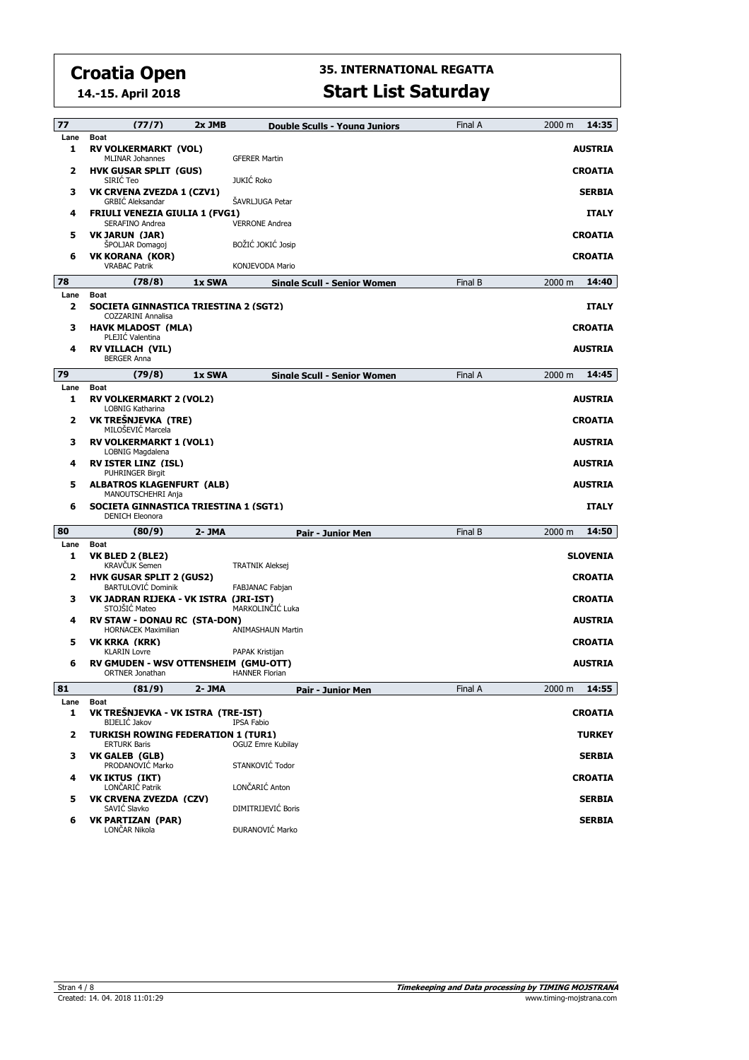**14.-15. April 2018**

# **35. INTERNATIONAL REGATTA**

| <b>Start List Saturday</b> |  |
|----------------------------|--|
|----------------------------|--|

| 77                      | (77/7)                                                                                | 2x JMB | <b>Double Sculls - Young Juniors</b> | Final A | 14:35<br>2000 m |
|-------------------------|---------------------------------------------------------------------------------------|--------|--------------------------------------|---------|-----------------|
| Lane<br>1               | Boat<br><b>RV VOLKERMARKT (VOL)</b>                                                   |        |                                      |         | <b>AUSTRIA</b>  |
| 2                       | <b>MLINAR Johannes</b><br><b>HVK GUSAR SPLIT (GUS)</b>                                |        | <b>GFERER Martin</b>                 |         | <b>CROATIA</b>  |
| з                       | SIRIC Teo<br><b>VK CRVENA ZVEZDA 1 (CZV1)</b>                                         |        | <b>JUKIĆ Roko</b>                    |         | <b>SERBIA</b>   |
|                         | <b>GRBIC Aleksandar</b>                                                               |        | <b>SAVRLJUGA Petar</b>               |         |                 |
| 4                       | <b>FRIULI VENEZIA GIULIA 1 (FVG1)</b><br>SERAFINO Andrea                              |        | <b>VERRONE Andrea</b>                |         | <b>ITALY</b>    |
| 5                       | <b>VK JARUN (JAR)</b><br><b>SPOLJAR Domagoj</b>                                       |        | BOŽIĆ JOKIĆ Josip                    |         | <b>CROATIA</b>  |
| 6                       | VK KORANA (KOR)<br><b>VRABAC Patrik</b>                                               |        | KONJEVODA Mario                      |         | <b>CROATIA</b>  |
| 78                      | (78/8)                                                                                | 1x SWA | Sinale Scull - Senior Women          | Final B | 14:40<br>2000 m |
| Lane                    | Boat                                                                                  |        |                                      |         |                 |
| 2                       | SOCIETA GINNASTICA TRIESTINA 2 (SGT2)<br><b>COZZARINI Annalisa</b>                    |        |                                      |         | <b>ITALY</b>    |
| з                       | <b>HAVK MLADOST (MLA)</b><br>PLEJIC Valentina                                         |        |                                      |         | <b>CROATIA</b>  |
| 4                       | <b>RV VILLACH (VIL)</b>                                                               |        |                                      |         | <b>AUSTRIA</b>  |
|                         | <b>BERGER Anna</b>                                                                    |        |                                      |         |                 |
| 79<br>Lane              | (79/8)<br>Boat                                                                        | 1x SWA | Single Scull - Senior Women          | Final A | 2000 m<br>14:45 |
| 1                       | <b>RV VOLKERMARKT 2 (VOL2)</b><br><b>LOBNIG Katharina</b>                             |        |                                      |         | <b>AUSTRIA</b>  |
| 2                       | VK TREŠNJEVKA (TRE)<br>MILOŠEVIĆ Marcela                                              |        |                                      |         | <b>CROATIA</b>  |
| з                       | <b>RV VOLKERMARKT 1 (VOL1)</b><br>LOBNIG Magdalena                                    |        |                                      |         | <b>AUSTRIA</b>  |
| 4                       | <b>RV ISTER LINZ (ISL)</b><br><b>PUHRINGER Birgit</b>                                 |        |                                      |         | <b>AUSTRIA</b>  |
| 5                       | <b>ALBATROS KLAGENFURT (ALB)</b>                                                      |        |                                      |         | <b>AUSTRIA</b>  |
|                         |                                                                                       |        |                                      |         |                 |
| 6                       | MANOUTSCHEHRI Anja<br>SOCIETA GINNASTICA TRIESTINA 1 (SGT1)<br><b>DENICH Eleonora</b> |        |                                      |         | <b>ITALY</b>    |
| 80                      | (80/9)                                                                                | 2- JMA | Pair - Junior Men                    | Final B | 14:50<br>2000 m |
| Lane                    | <b>Boat</b>                                                                           |        |                                      |         |                 |
| 1                       | VK BLED 2 (BLE2)<br><b>KRAVČUK Semen</b>                                              |        | <b>TRATNIK Aleksej</b>               |         | <b>SLOVENIA</b> |
| 2                       | <b>HVK GUSAR SPLIT 2 (GUS2)</b><br><b>BARTULOVIC Dominik</b>                          |        | FABJANAC Fabjan                      |         | <b>CROATIA</b>  |
| з                       | VK JADRAN RIJEKA - VK ISTRA (JRI-IST)                                                 |        |                                      |         | <b>CROATIA</b>  |
| 4                       | STOJŠIĆ Mateo<br><b>RV STAW - DONAU RC (STA-DON)</b>                                  |        | MARKOLINČIĆ Luka                     |         | <b>AUSTRIA</b>  |
| 5                       | <b>HORNACEK Maximilian</b><br>VK KRKA (KRK)                                           |        | <b>ANIMASHAUN Martin</b>             |         | <b>CROATIA</b>  |
|                         | <b>KLARIN Lovre</b>                                                                   |        | PAPAK Kristijan                      |         |                 |
| 6                       | RV GMUDEN - WSV OTTENSHEIM (GMU-OTT)<br><b>ORTNER Jonathan</b>                        |        | <b>HANNER Florian</b>                |         | <b>AUSTRIA</b>  |
| 81                      | (81/9)                                                                                | 2- JMA | Pair - Junior Men                    | Final A | 2000 m<br>14:55 |
| Lane<br>1               | Boat<br>VK TREŠNJEVKA - VK ISTRA (TRE-IST)                                            |        |                                      |         | <b>CROATIA</b>  |
|                         | BIJELIĆ Jakov                                                                         |        | IPSA Fabio                           |         |                 |
| $\overline{\mathbf{z}}$ | <b>TURKISH ROWING FEDERATION 1 (TUR1)</b><br><b>ERTURK Baris</b>                      |        | OGUZ Emre Kubilav                    |         | <b>TURKEY</b>   |
| з                       | <b>VK GALEB (GLB)</b><br>PRODANOVIĆ Marko                                             |        | STANKOVIĆ Todor                      |         | <b>SERBIA</b>   |
| 4                       | VK IKTUS (IKT)<br>LONČARIĆ Patrik                                                     |        | LONČARIĆ Anton                       |         | <b>CROATIA</b>  |
| 5                       | VK CRVENA ZVEZDA (CZV)<br>SAVIĆ Slavko                                                |        | DIMITRIJEVIĆ Boris                   |         | <b>SERBIA</b>   |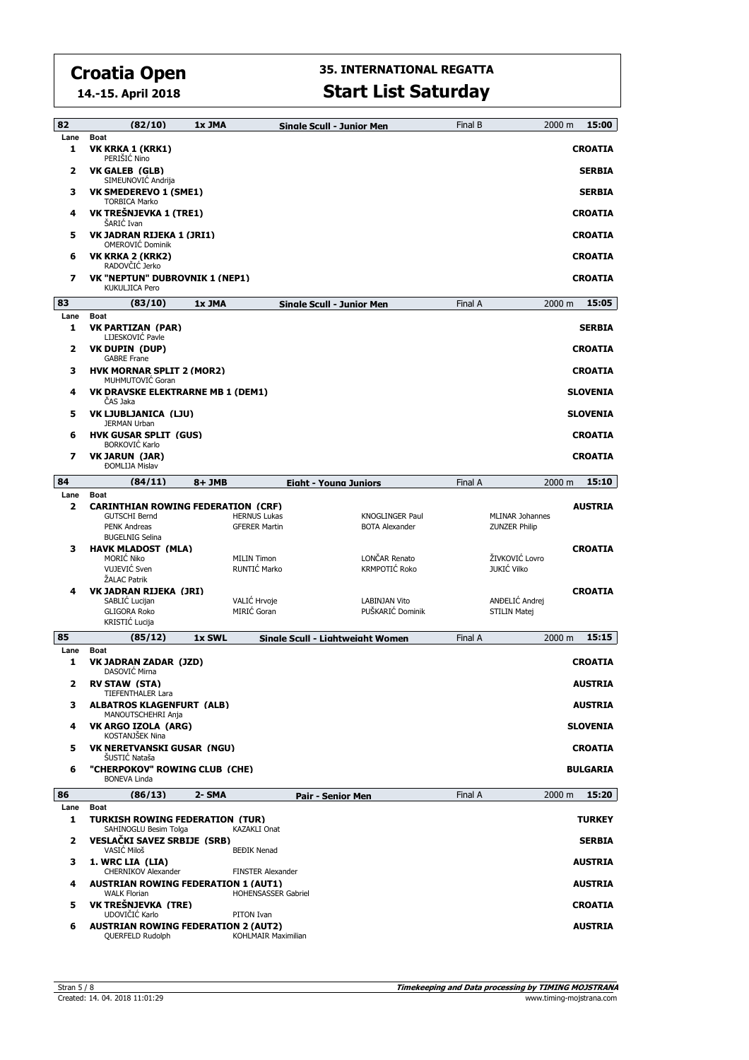**14.-15. April 2018**

| 82                      | (82/10)                                                                                                            | 1x JMA |                                             | Sinale Scull - Junior Men                       | Final B | 15:00<br>2000 m                                                  |
|-------------------------|--------------------------------------------------------------------------------------------------------------------|--------|---------------------------------------------|-------------------------------------------------|---------|------------------------------------------------------------------|
| Lane<br>1               | <b>Boat</b><br>VK KRKA 1 (KRK1)<br>PERIŠIĆ Nino                                                                    |        |                                             |                                                 |         | <b>CROATIA</b>                                                   |
| $\overline{\mathbf{2}}$ | <b>VK GALEB (GLB)</b><br>SIMEUNOVIĆ Andrija                                                                        |        |                                             |                                                 |         | <b>SERBIA</b>                                                    |
| з                       | <b>VK SMEDEREVO 1 (SME1)</b><br><b>TORBICA Marko</b>                                                               |        |                                             |                                                 |         | <b>SERBIA</b>                                                    |
| 4                       | VK TREŠNJEVKA 1 (TRE1)<br>ŠARIĆ Ivan                                                                               |        |                                             |                                                 |         | <b>CROATIA</b>                                                   |
| 5                       | VK JADRAN RIJEKA 1 (JRI1)<br><b>OMEROVIĆ Dominik</b>                                                               |        |                                             |                                                 |         | <b>CROATIA</b>                                                   |
| 6                       | VK KRKA 2 (KRK2)<br>RADOVČIĆ Jerko                                                                                 |        |                                             |                                                 |         | <b>CROATIA</b>                                                   |
| 7                       | <b>VK "NEPTUN" DUBROVNIK 1 (NEP1)</b><br>KUKULJICA Pero                                                            |        |                                             |                                                 |         | <b>CROATIA</b>                                                   |
| 83                      | (83/10)                                                                                                            | 1x JMA |                                             | <b>Single Scull - Junior Men</b>                | Final A | 15:05<br>2000 m                                                  |
| Lane<br>1               | <b>Boat</b><br>VK PARTIZAN (PAR)<br>LIJESKOVIĆ Pavle                                                               |        |                                             |                                                 |         | <b>SERBIA</b>                                                    |
| 2                       | VK DUPIN (DUP)<br><b>GABRE Frane</b>                                                                               |        |                                             |                                                 |         | <b>CROATIA</b>                                                   |
| з                       | <b>HVK MORNAR SPLIT 2 (MOR2)</b><br>MUHMUTOVIC Goran                                                               |        |                                             |                                                 |         | <b>CROATIA</b>                                                   |
| 4                       | <b>VK DRAVSKE ELEKTRARNE MB 1 (DEM1)</b><br>ČAS Jaka                                                               |        |                                             |                                                 |         | <b>SLOVENIA</b>                                                  |
| 5                       | <b>VK LJUBLJANICA (LJU)</b><br><b>JERMAN Urban</b>                                                                 |        |                                             |                                                 |         | <b>SLOVENIA</b>                                                  |
| 6                       | <b>HVK GUSAR SPLIT (GUS)</b><br><b>BORKOVIĆ Karlo</b>                                                              |        |                                             |                                                 |         | <b>CROATIA</b>                                                   |
| $\overline{\mathbf{z}}$ | <b>VK JARUN (JAR)</b><br><b>ĐOMLIJA Mislav</b>                                                                     |        |                                             |                                                 |         | <b>CROATIA</b>                                                   |
| 84                      | (84/11)                                                                                                            | 8+ JMB |                                             | <b>Eight - Young Juniors</b>                    | Final A | 15:10<br>2000 m                                                  |
| Lane                    | <b>Boat</b>                                                                                                        |        |                                             |                                                 |         |                                                                  |
| $\overline{\mathbf{2}}$ | <b>CARINTHIAN ROWING FEDERATION (CRF)</b><br><b>GUTSCHI Bernd</b><br><b>PENK Andreas</b><br><b>BUGELNIG Selina</b> |        | <b>HERNUS Lukas</b><br><b>GFERER Martin</b> | <b>KNOGLINGER Paul</b><br><b>BOTA Alexander</b> |         | <b>AUSTRIA</b><br><b>MLINAR Johannes</b><br><b>ZUNZER Philip</b> |
| з                       | <b>HAVK MLADOST (MLA)</b><br>MORIĆ Niko<br>VUJEVIĆ Sven                                                            |        | <b>MILIN Timon</b><br>RUNTIĆ Marko          | LONČAR Renato<br>KRMPOTIĆ Roko                  |         | <b>CROATIA</b><br>ŽIVKOVIĆ Lovro<br>JUKIĆ Vilko                  |
|                         | ŽALAC Patrik                                                                                                       |        |                                             |                                                 |         |                                                                  |
| 4                       | VK JADRAN RIJEKA (JRI)<br>SABLIĆ Lucijan                                                                           |        | VALIĆ Hrvoje                                | <b>LABINJAN Vito</b>                            |         | <b>CROATIA</b><br>ANDELIĆ Andrej                                 |
|                         | <b>GLIGORA Roko</b><br>KRISTIĆ Lucija                                                                              |        | MIRIĆ Goran                                 | PUŠKARIĆ Dominik                                |         | <b>STILIN Matej</b>                                              |
| 85                      | (85/12)                                                                                                            | 1x SWL |                                             | Sinale Scull - Liahtweiaht Women                | Final A | 15:15<br>2000 m                                                  |
| Lane                    | <b>Boat</b>                                                                                                        |        |                                             |                                                 |         |                                                                  |
| 1                       | <b>VK JADRAN ZADAR (JZD)</b><br>DASOVIĆ Mirna                                                                      |        |                                             |                                                 |         | <b>CROATIA</b>                                                   |
| 2                       | <b>RV STAW (STA)</b><br><b>TIEFENTHALER Lara</b>                                                                   |        |                                             |                                                 |         | <b>AUSIRIA</b>                                                   |
| з                       | <b>ALBATROS KLAGENFURT (ALB)</b><br>MANOUTSCHEHRI Anja                                                             |        |                                             |                                                 |         | <b>AUSTRIA</b>                                                   |
| 4                       | VK ARGO IZOLA (ARG)<br>KOSTANJŠEK Nina                                                                             |        |                                             |                                                 |         | <b>SLOVENIA</b>                                                  |
| 5                       | <b>VK NERETVANSKI GUSAR (NGU)</b><br>ŠUSTIĆ Nataša                                                                 |        |                                             |                                                 |         | <b>CROATIA</b>                                                   |
| 6                       | "CHERPOKOV" ROWING CLUB (CHE)<br><b>BONEVA Linda</b>                                                               |        |                                             |                                                 |         | <b>BULGARIA</b>                                                  |
| 86                      | (86/13)                                                                                                            | 2- SMA |                                             | Pair - Senior Men                               | Final A | 15:20<br>$2000 \; \text{m}$                                      |
| Lane<br>1               | <b>Boat</b><br><b>TURKISH ROWING FEDERATION (TUR)</b><br>SAHINOGLU Besim Tolga                                     |        | <b>KAZAKLI Onat</b>                         |                                                 |         | <b>TURKEY</b>                                                    |
| 2                       | <b>VESLAČKI SAVEZ SRBIJE (SRB)</b><br>VASIĆ Miloš                                                                  |        | <b>BEĐIK Nenad</b>                          |                                                 |         | <b>SERBIA</b>                                                    |
| з                       | 1. WRC LIA (LIA)<br><b>CHERNIKOV Alexander</b>                                                                     |        | <b>FINSTER Alexander</b>                    |                                                 |         | <b>AUSTRIA</b>                                                   |
| 4                       | <b>AUSTRIAN ROWING FEDERATION 1 (AUT1)</b><br><b>WALK Florian</b>                                                  |        | HOHENSASSER Gabriel                         |                                                 |         | <b>AUSTRIA</b>                                                   |
| 5                       | VK TREŠNJEVKA (TRE)<br>UDOVIČIĆ Karlo                                                                              |        | PITON Ivan                                  |                                                 |         | <b>CROATIA</b>                                                   |
| 6                       | <b>AUSTRIAN ROWING FEDERATION 2 (AUT2)</b><br>QUERFELD Rudolph                                                     |        | KOHLMAIR Maximilian                         |                                                 |         | AUSTRIA                                                          |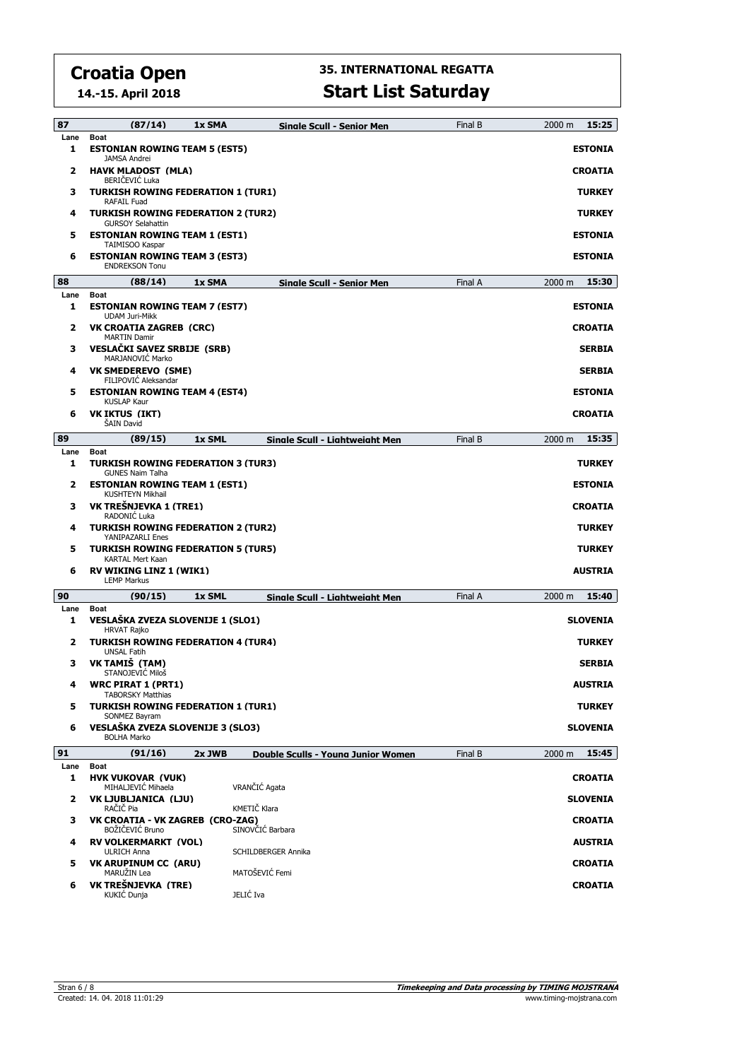**14.-15. April 2018**

| 87        | (87/14)                                                                           | 1x SMA | Sinale Scull - Senior Men          | Final B | 2000 m<br>15:25     |
|-----------|-----------------------------------------------------------------------------------|--------|------------------------------------|---------|---------------------|
| Lane<br>1 | <b>Boat</b><br><b>ESTONIAN ROWING TEAM 5 (EST5)</b>                               |        |                                    |         | <b>ESTONIA</b>      |
| 2         | <b>JAMSA Andrei</b><br><b>HAVK MLADOST (MLA)</b>                                  |        |                                    |         | <b>CROATIA</b>      |
| з         | BERIČEVIĆ Luka<br><b>TURKISH ROWING FEDERATION 1 (TUR1)</b><br><b>RAFAIL Fuad</b> |        |                                    |         | <b>TURKEY</b>       |
| 4         | <b>TURKISH ROWING FEDERATION 2 (TUR2)</b><br><b>GURSOY Selahattin</b>             |        |                                    |         | <b>TURKEY</b>       |
| 5         | <b>ESTONIAN ROWING TEAM 1 (EST1)</b><br>TAIMISOO Kaspar                           |        |                                    |         | <b>ESTONIA</b>      |
| 6         | <b>ESTONIAN ROWING TEAM 3 (EST3)</b><br><b>ENDREKSON Tonu</b>                     |        |                                    |         | <b>ESTONIA</b>      |
| 88        | (88/14)                                                                           | 1x SMA | Single Scull - Senior Men          | Final A | 2000 m <b>15:30</b> |
| Lane<br>1 | <b>Boat</b><br><b>ESTONIAN ROWING TEAM 7 (EST7)</b>                               |        |                                    |         | <b>ESTONIA</b>      |
| 2         | <b>UDAM Juri-Mikk</b><br><b>VK CROATIA ZAGREB (CRC)</b>                           |        |                                    |         | <b>CROATIA</b>      |
| з         | <b>MARTIN Damir</b><br><b>VESLAČKI SAVEZ SRBIJE (SRB)</b><br>MARJANOVIĆ Marko     |        |                                    |         | <b>SERBIA</b>       |
| 4         | <b>VK SMEDEREVO (SME)</b><br>FILIPOVIC Aleksandar                                 |        |                                    |         | <b>SERBIA</b>       |
| 5         | <b>ESTONIAN ROWING TEAM 4 (EST4)</b><br><b>KUSLAP Kaur</b>                        |        |                                    |         | <b>ESTONIA</b>      |
| 6         | VK IKTUS (IKT)<br><b>SAIN David</b>                                               |        |                                    |         | <b>CROATIA</b>      |
| 89        | (89/15)                                                                           | 1x SML | Single Scull - Lightweight Men     | Final B | 15:35<br>2000 m     |
| Lane      | Boat                                                                              |        |                                    |         |                     |
| 1         | <b>TURKISH ROWING FEDERATION 3 (TUR3)</b><br><b>GUNES Naim Talha</b>              |        |                                    |         | <b>TURKEY</b>       |
| 2         | <b>ESTONIAN ROWING TEAM 1 (EST1)</b><br>KUSHTEYN Mikhail                          |        |                                    |         | <b>ESTONIA</b>      |
| з         | VK TREŠNJEVKA 1 (TRE1)<br>RADONIĆ Luka                                            |        |                                    |         | <b>CROATIA</b>      |
| 4         | <b>TURKISH ROWING FEDERATION 2 (TUR2)</b><br><b>YANIPAZARLI Enes</b>              |        |                                    |         | <b>TURKEY</b>       |
| 5         | <b>TURKISH ROWING FEDERATION 5 (TUR5)</b><br>KARTAL Mert Kaan                     |        |                                    |         | <b>TURKEY</b>       |
| 6         | <b>RV WIKING LINZ 1 (WIK1)</b><br><b>LEMP Markus</b>                              |        |                                    |         | AUSTRIA             |
| 90        | (90/15)                                                                           | 1x SML | Single Scull - Lightweight Men     | Final A | 15:40<br>2000 m     |
| Lane      | <b>Boat</b>                                                                       |        |                                    |         |                     |
| 1         | VESLAŠKA ZVEZA SLOVENIJE 1 (SLO1)<br><b>HRVAT Rajko</b>                           |        |                                    |         | <b>SLOVENIA</b>     |
| 2         | <b>TURKISH ROWING FEDERATION 4 (TUR4)</b><br><b>UNSAL Fatih</b>                   |        |                                    |         | <b>TURKEY</b>       |
| з         | VK TAMIŠ (TAM)<br>STANOJEVIĆ Miloš                                                |        |                                    |         | <b>SERBIA</b>       |
| 4         | <b>WRC PIRAT 1 (PRT1)</b><br><b>TABORSKY Matthias</b>                             |        |                                    |         | <b>AUSTRIA</b>      |
| 5         | <b>TURKISH ROWING FEDERATION 1 (TUR1)</b><br>SONMEZ Bayram                        |        |                                    |         | <b>TURKEY</b>       |
| 6         | VESLAŠKA ZVEZA SLOVENIJE 3 (SLO3)<br><b>BOLHA Marko</b>                           |        |                                    |         | SLOVENIA            |
| 91        | (91/16)                                                                           | 2x JWB | Double Sculls - Young Junior Women | Final B | 15:45<br>2000 m     |
| Lane<br>1 | Boat<br><b>HVK VUKOVAR (VUK)</b>                                                  |        |                                    |         | <b>CROATIA</b>      |
| 2         | MIHALJEVIĆ Mihaela<br>VK LJUBLJANICA (LJU)                                        |        | VRANČIĆ Agata                      |         | <b>SLOVENIA</b>     |
| з         | RAČIČ Pia<br>VK CROATIA - VK ZAGREB (CRO-ZAG)                                     |        | KMETIČ Klara                       |         | <b>CROATIA</b>      |
| 4         | BOŽIČEVIĆ Bruno<br><b>RV VOLKERMARKT (VOL)</b>                                    |        | SINOVČIĆ Barbara                   |         | AUSTRIA             |
|           | <b>ULRICH Anna</b>                                                                |        | SCHILDBERGER Annika                |         |                     |
| 5         | <b>VK ARUPINUM CC (ARU)</b><br>MARUŽIN Lea                                        |        | MATOŠEVIĆ Femi                     |         | <b>CROATIA</b>      |
| 6         | VK TREŠNJEVKA (TRE)<br>KUKIĆ Dunja                                                |        | JELIĆ Iva                          |         | <b>CROATIA</b>      |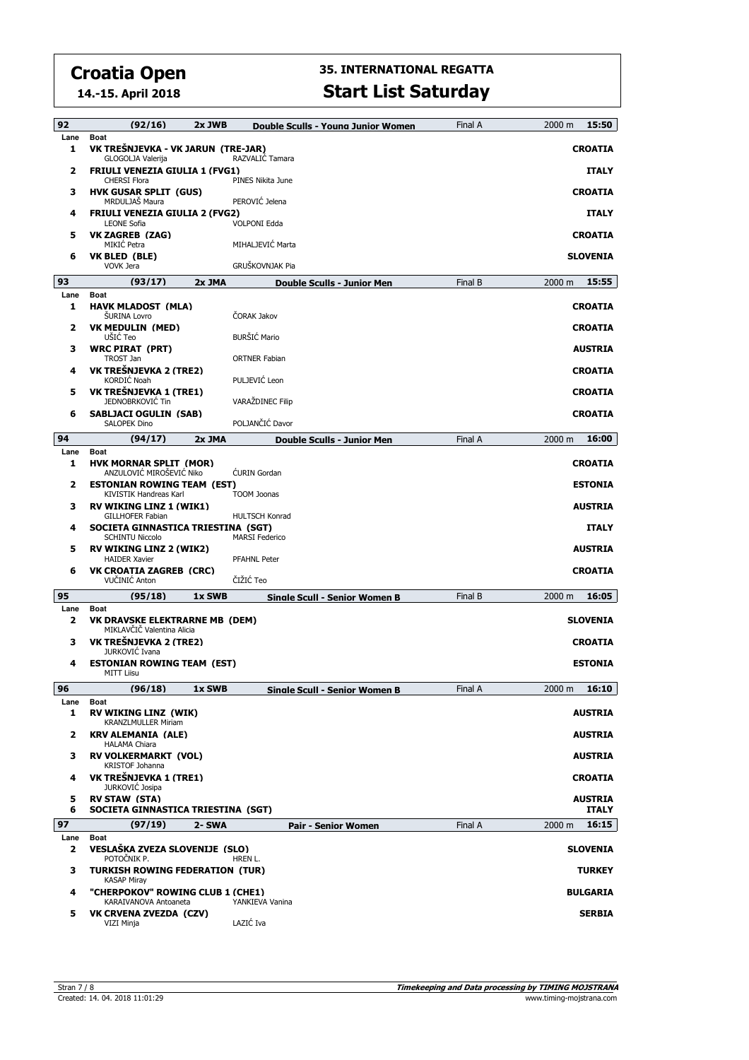**14.-15. April 2018**

## **35. INTERNATIONAL REGATTA**

|  | <b>Start List Saturday</b> |
|--|----------------------------|
|  |                            |

| 92        | (92/16)                                                                       | 2x JWB | Double Sculls - Young Junior Women | Final A | 2000 m<br>15:50             |
|-----------|-------------------------------------------------------------------------------|--------|------------------------------------|---------|-----------------------------|
| Lane<br>1 | <b>Boat</b><br>VK TREŠNJEVKA - VK JARUN (TRE-JAR)<br><b>GLOGOLJA Valerija</b> |        | RAZVALIĆ Tamara                    |         | <b>CROATIA</b>              |
| 2         | <b>FRIULI VENEZIA GIULIA 1 (FVG1)</b><br><b>CHERSI Flora</b>                  |        | PINES Nikita June                  |         | <b>ITALY</b>                |
| з         | <b>HVK GUSAR SPLIT (GUS)</b><br>MRDULJAŠ Maura                                |        | PEROVIĆ Jelena                     |         | <b>CROATIA</b>              |
| 4         | <b>FRIULI VENEZIA GIULIA 2 (FVG2)</b><br><b>LEONE Sofia</b>                   |        | <b>VOLPONI Edda</b>                |         | <b>ITALY</b>                |
| 5         | VK ZAGREB (ZAG)<br>MIKIĆ Petra                                                |        | MIHALJEVIĆ Marta                   |         | <b>CROATIA</b>              |
| 6         | VK BLED (BLE)<br><b>VOVK Jera</b>                                             |        | GRUŠKOVNJAK Pia                    |         | <b>SLOVENIA</b>             |
| 93        | (93/17)                                                                       | 2x JMA | <b>Double Sculls - Junior Men</b>  | Final B | 15:55<br>2000 m             |
| Lane      | <b>Boat</b>                                                                   |        |                                    |         |                             |
| 1         | <b>HAVK MLADOST (MLA)</b><br><b>SURINA Lovro</b>                              |        | ČORAK Jakov                        |         | <b>CROATIA</b>              |
| 2         | <b>VK MEDULIN (MED)</b><br>UŠIĆ Teo                                           |        | <b>BURŠIĆ Mario</b>                |         | <b>CROATIA</b>              |
| з         | <b>WRC PIRAT (PRT)</b><br>TROST Jan                                           |        | <b>ORTNER Fabian</b>               |         | <b>AUSTRIA</b>              |
| 4         | VK TREŠNJEVKA 2 (TRE2)<br>KORDIĆ Noah                                         |        | PULJEVIĆ Leon                      |         | <b>CROATIA</b>              |
| 5         | VK TREŠNJEVKA 1 (TRE1)<br><b>JEDNOBRKOVIĆ Tin</b>                             |        | VARAŽDINEC Filip                   |         | <b>CROATIA</b>              |
| 6         | <b>SABLJACI OGULIN (SAB)</b><br><b>SALOPEK Dino</b>                           |        | POLJANČIĆ Davor                    |         | <b>CROATIA</b>              |
| 94        | (94/17)                                                                       | 2x JMA | <b>Double Sculls - Junior Men</b>  | Final A | 16:00<br>2000 m             |
| Lane<br>1 | <b>Boat</b><br><b>HVK MORNAR SPLIT (MOR)</b>                                  |        |                                    |         | <b>CROATIA</b>              |
| 2         | ANZULOVIĆ MIROŠEVIĆ Niko<br><b>ESTONIAN ROWING TEAM (EST)</b>                 |        | <b>CURIN</b> Gordan                |         | <b>ESTONIA</b>              |
| 3         | KIVISTIK Handreas Karl<br><b>RV WIKING LINZ 1 (WIK1)</b>                      |        | <b>TOOM Joonas</b>                 |         | <b>AUSTRIA</b>              |
| 4         | <b>GILLHOFER Fabian</b><br>SOCIETA GINNASTICA TRIESTINA (SGT)                 |        | <b>HULTSCH Konrad</b>              |         | <b>ITALY</b>                |
| 5         | <b>SCHINTU Niccolo</b><br><b>RV WIKING LINZ 2 (WIK2)</b>                      |        | <b>MARSI Federico</b>              |         | <b>AUSTRIA</b>              |
| 6         | <b>HAIDER Xavier</b><br><b>VK CROATIA ZAGREB (CRC)</b><br>VUČINIĆ Anton       |        | <b>PFAHNL Peter</b><br>ČIŽIĆ Teo   |         | <b>CROATIA</b>              |
| 95        |                                                                               |        |                                    |         |                             |
| Lane      | (95/18)<br>Boat                                                               | 1x SWB | Sinale Scull - Senior Women B      | Final B | 16:05<br>$2000 \; \text{m}$ |
| 2         | <b>VK DRAVSKE ELEKTRARNE MB (DEM)</b><br>MIKLAVČIČ Valentina Alicia           |        |                                    |         | <b>SLOVENIA</b>             |
| з         | VK TREŠNJEVKA 2 (TRE2)<br>JURKOVIĆ Ivana                                      |        |                                    |         | <b>CROATIA</b>              |
| 4         | <b>ESTONIAN ROWING TEAM (EST)</b><br>MITT Liisu                               |        |                                    |         | <b>ESTONIA</b>              |
| 96        | (96/18)                                                                       | 1x SWB | Sinale Scull - Senior Women B      | Final A | 16:10<br>2000 m             |
| Lane<br>1 | Boat<br><b>RV WIKING LINZ (WIK)</b>                                           |        |                                    |         | <b>AUSTRIA</b>              |
| 2         | <b>KRANZLMULLER Miriam</b><br><b>KRV ALEMANIA (ALE)</b>                       |        |                                    |         | <b>AUSTRIA</b>              |
| з         | <b>HALAMA Chiara</b><br><b>RV VOLKERMARKT (VOL)</b>                           |        |                                    |         | <b>AUSTRIA</b>              |
| 4         | KRISTOF Johanna<br>VK TREŠNJEVKA 1 (TRE1)                                     |        |                                    |         | <b>CROATIA</b>              |
| 5         | <b>JURKOVIĆ Josipa</b><br><b>RV STAW (STA)</b>                                |        |                                    |         | <b>AUSTRIA</b>              |
| 6         | SOCIETA GINNASTICA TRIESTINA (SGT)                                            |        |                                    |         | <b>ITALY</b>                |
| 97        | (97/19)<br>Boat                                                               | 2- SWA | Pair - Senior Women                | Final A | 16:15<br>2000 m             |
| Lane<br>2 | VESLAŠKA ZVEZA SLOVENIJE (SLO)<br>POTOČNIK P.                                 |        | HREN L.                            |         | <b>SLOVENIA</b>             |
| з         | <b>TURKISH ROWING FEDERATION (TUR)</b><br><b>KASAP Miray</b>                  |        |                                    |         | <b>TURKEY</b>               |
| 4         | "CHERPOKOV" ROWING CLUB 1 (CHE1)<br>KARAIVANOVA Antoaneta                     |        | YANKIEVA Vanina                    |         | <b>BULGARIA</b>             |
| 5         | VK CRVENA ZVEZDA (CZV)<br>VIZI Minja                                          |        | LAZIĆ Iva                          |         | <b>SERBIA</b>               |